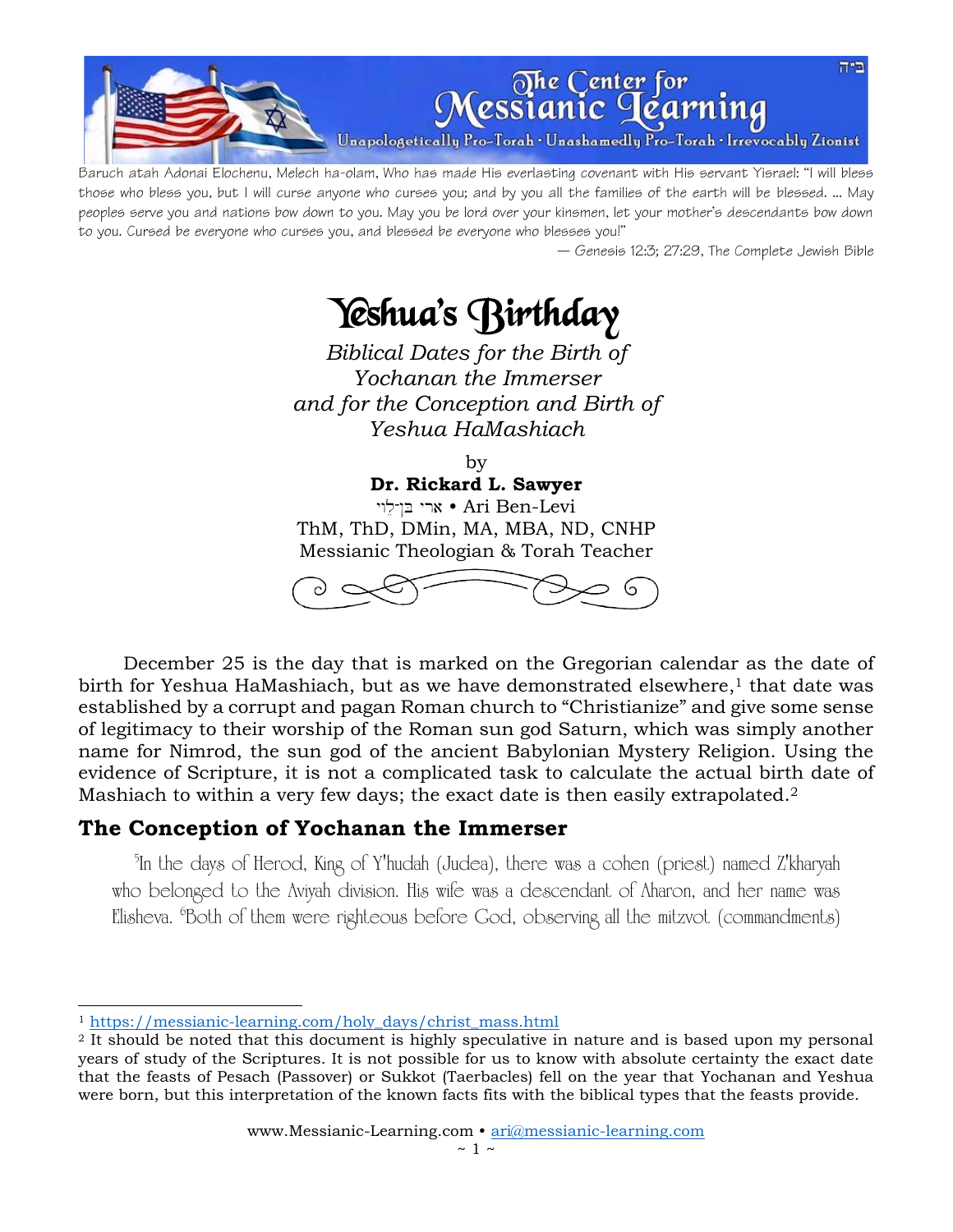

Baruch atah Adonai Elochenu, Melech ha-olam, Who has made His everlasting covenant with His servant Yisrael: "I will bless those who bless you, but I will curse anyone who curses you; and by you all the families of the earth will be blessed. ... May peoples serve you and nations bow down to you. May you be lord over your kinsmen, let your mother's descendants bow down to you. Cursed be everyone who curses you, and blessed be everyone who blesses you!"

— Genesis 12:3; 27:29, The Complete Jewish Bible

# Yeshua's Birthday

*Biblical Dates for the Birth of Yochanan the Immerser and for the Conception and Birth of Yeshua HaMashiach*

by

**Dr. Rickard L. Sawyer**

י בן־לוי Ari Ben-Levi ThM, ThD, DMin, MA, MBA, ND, CNHP Messianic Theologian & Torah Teacher



December 25 is the day that is marked on the Gregorian calendar as the date of birth for Yeshua HaMashiach, but as we have demonstrated elsewhere, <sup>1</sup> that date was established by a corrupt and pagan Roman church to "Christianize" and give some sense of legitimacy to their worship of the Roman sun god Saturn, which was simply another name for Nimrod, the sun god of the ancient Babylonian Mystery Religion. Using the evidence of Scripture, it is not a complicated task to calculate the actual birth date of Mashiach to within a very few days; the exact date is then easily extrapolated.<sup>2</sup>

## **The Conception of Yochanan the Immerser**

<sup>5</sup>In the days of Herod, King of Y'hudah (Judea), there was a cohen (priest) named Z'kharyah who belonged to the Aviyah division. His wife was a descendant of Aharon, and her name was Elisheva. <sup>6</sup>Both of them were righteous before God, observing all the mitzvot (commandments)

<sup>1</sup> [https://messianic-learning.com/holy\\_days/christ\\_mass.html](https://messianic-learning.com/holy_days/christ_mass.html)

<sup>2</sup> It should be noted that this document is highly speculative in nature and is based upon my personal years of study of the Scriptures. It is not possible for us to know with absolute certainty the exact date that the feasts of Pesach (Passover) or Sukkot (Taerbacles) fell on the year that Yochanan and Yeshua were born, but this interpretation of the known facts fits with the biblical types that the feasts provide.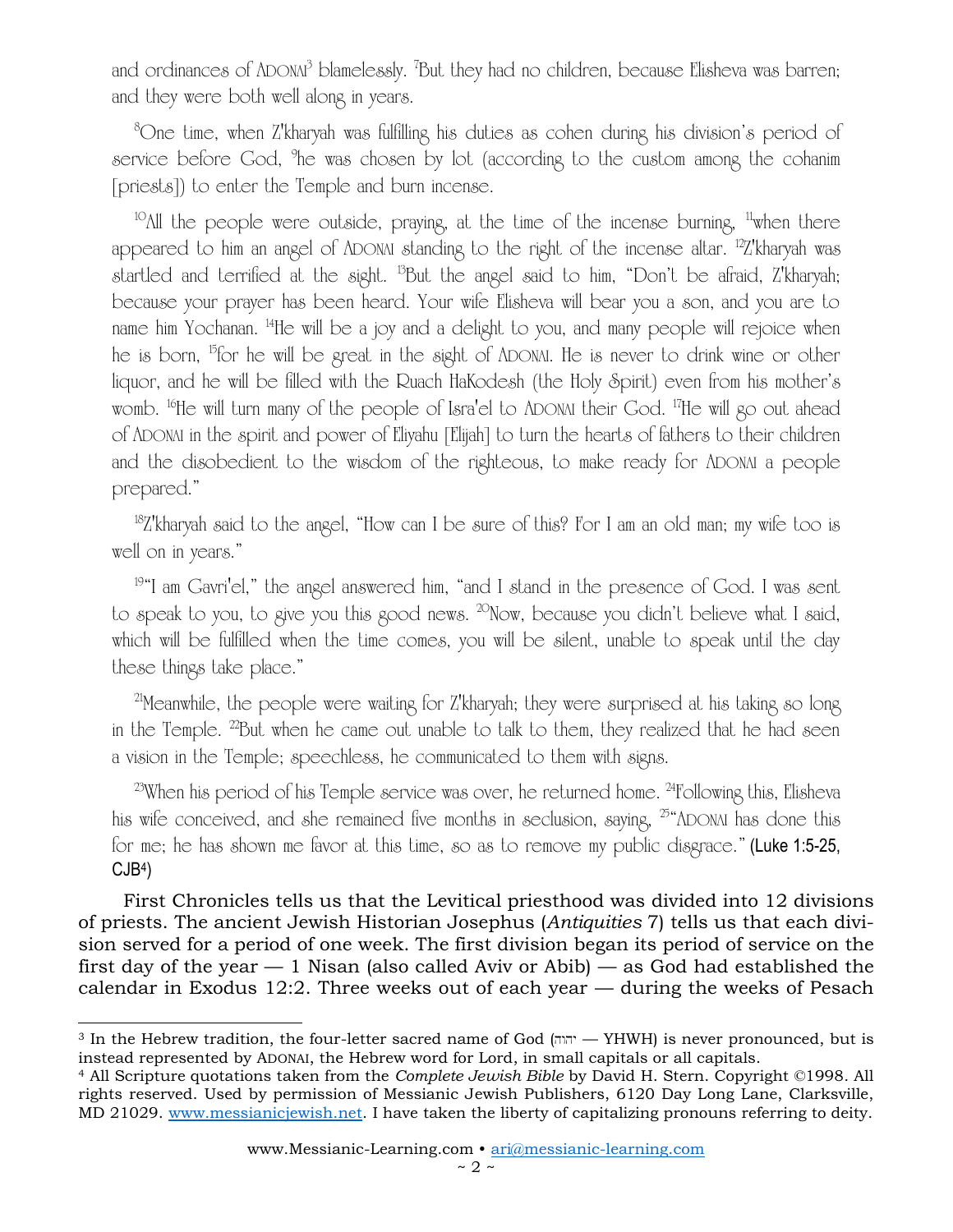and ordinances of ADONA<sup>3</sup> blamelessly. <sup>7</sup>But they had no children, because Elisheva was barren; and they were both well along in years.

<sup>8</sup>One time, when Z'kharyah was fulfilling his duties as cohen during his division's period of service before God, <sup>9</sup>he was chosen by lot (according to the custom among the cohanim [priests]) to enter the Temple and burn incense.

<sup>10</sup> $\Lambda$ ll the people were outside, praying, at the time of the incense burning, <sup>11</sup>when there appeared to him an angel of ADONAI standing to the right of the incense altar. <sup>12</sup>Z'kharyah was startled and terrified at the sight. <sup>13</sup>But the angel said to him, "Don't be afraid, Z'kharyah; because your prayer has been heard. Your wife Elisheva will bear you a son, and you are to name him Yochanan. <sup>14</sup>He will be a joy and a delight to you, and many people will rejoice when he is born, <sup>b</sup>for he will be great in the sight of ADONAI. He is never to drink wine or other liquor, and he will be filled with the Ruach HaKodesh (the Holy Spirit) even from his mother's womb. <sup>16</sup>He will turn many of the people of Isra'el to ADONAI their God. <sup>17</sup>He will go out ahead of ADONAI in the spirit and power of Eliyahu [Elijah] to turn the hearts of fathers to their children and the disobedient to the wisdom of the righteous, to make ready for ADONAI a people prepared."

 $18Z$ 'kharyah said to the angel, "How can I be sure of this? For I am an old man; my wife too is well on in years."

19 "I am Gavri'el," the angel answered him, "and I stand in the presence of God. I was sent to speak to you, to give you this good news. <sup>20</sup>Now, because you didn't believe what I said, which will be fulfilled when the time comes, you will be silent, unable to speak until the day these things take place."

<sup>21</sup>Meanwhile, the people were waiting for Z'kharyah; they were surprised at his taking so long in the Temple. <sup>22</sup>But when he came out unable to talk to them, they realized that he had seen a vision in the Temple; speechless, he communicated to them with signs.

 $23$ When his period of his Temple service was over, he returned home.  $24$ Following this, Elisheva his wife conceived, and she remained five months in seclusion, saying,  $25^{\circ}$ ADONAI has done this for me; he has shown me favor at this time, so as to remove my public disgrace." (Luke 1:5-25, CJB<sup>4</sup> )

First Chronicles tells us that the Levitical priesthood was divided into 12 divisions of priests. The ancient Jewish Historian Josephus (*Antiquities* 7) tells us that each division served for a period of one week. The first division began its period of service on the first day of the year  $-1$  Nisan (also called Aviv or Abib)  $-$  as God had established the calendar in Exodus 12:2. Three weeks out of each year — during the weeks of Pesach

<sup>&</sup>lt;sup>3</sup> In the Hebrew tradition, the four-letter sacred name of God  $(m_{\text{min}} - YHWH)$  is never pronounced, but is instead represented by ADONAI, the Hebrew word for Lord, in small capitals or all capitals.

<sup>4</sup> All Scripture quotations taken from the *Complete Jewish Bible* by David H. Stern. Copyright ©1998. All rights reserved. Used by permission of Messianic Jewish Publishers, 6120 Day Long Lane, Clarksville, MD 21029. [www.messianicjewish.net.](http://www.messianicjewish.net/) I have taken the liberty of capitalizing pronouns referring to deity.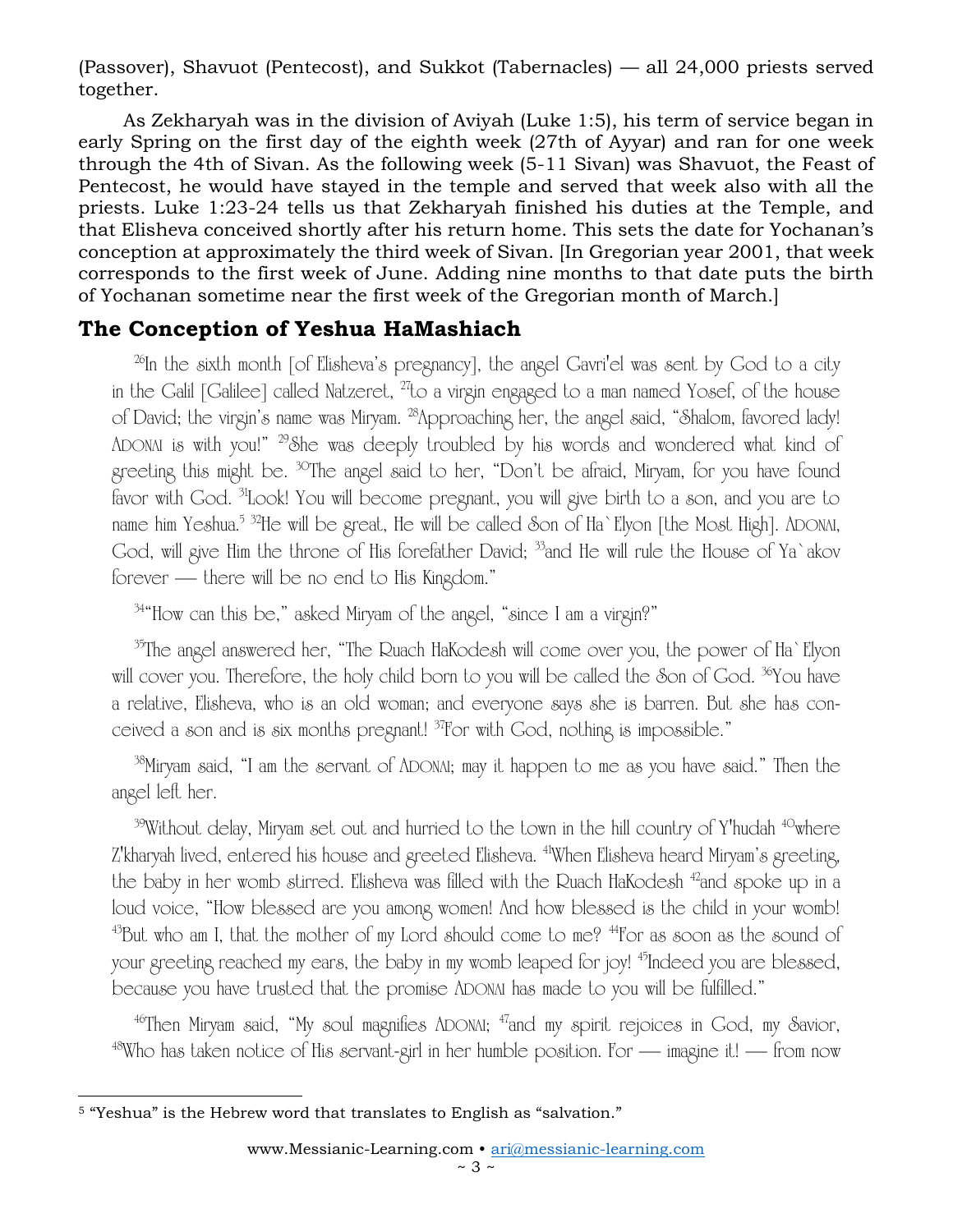(Passover), Shavuot (Pentecost), and Sukkot (Tabernacles) — all 24,000 priests served together.

As Zekharyah was in the division of Aviyah (Luke 1:5), his term of service began in early Spring on the first day of the eighth week (27th of Ayyar) and ran for one week through the 4th of Sivan. As the following week (5-11 Sivan) was Shavuot, the Feast of Pentecost, he would have stayed in the temple and served that week also with all the priests. Luke 1:23-24 tells us that Zekharyah finished his duties at the Temple, and that Elisheva conceived shortly after his return home. This sets the date for Yochanan's conception at approximately the third week of Sivan. [In Gregorian year 2001, that week corresponds to the first week of June. Adding nine months to that date puts the birth of Yochanan sometime near the first week of the Gregorian month of March.]

## **The Conception of Yeshua HaMashiach**

<sup>26</sup>In the sixth month [of Elisheva's pregnancy], the angel Gavri'el was sent by God to a city in the Galil [Galilee] called Natzeret, <sup>27</sup>to a virgin engaged to a man named Yosef, of the house of David; the virgin's name was Miryam. <sup>28</sup>Approaching her, the angel said, "Shalom, favored lady! ADONAI is with you!" <sup>29</sup>She was deeply troubled by his words and wondered what kind of greeting this might be. <sup>30</sup>The angel said to her, "Don't be afraid, Miryam, for you have found favor with God. <sup>31</sup>Look! You will become pregnant, you will give birth to a son, and you are to name him Yeshua.<sup>5 32</sup>He will be great, He will be called Son of Ha`Elyon [the Most High]. ADONAI, God, will give Him the throne of His forefather David; <sup>33</sup>and He will rule the House of Ya`akov forever — there will be no end to His Kingdom."

<sup>34</sup> "How can this be," asked Miryam of the angel, "since I am a virgin?"

<sup>35</sup>The angel answered her, "The Ruach HaKodesh will come over you, the power of Ha`Elyon will cover you. Therefore, the holy child born to you will be called the Son of God. <sup>36</sup>You have a relative, Elisheva, who is an old woman; and everyone says she is barren. But she has conceived a son and is six months pregnant! <sup>37</sup>For with God, nothing is impossible."

<sup>38</sup>Miryam said, "I am the servant of ADONAI; may it happen to me as you have said." Then the angel left her.

 $39$ Without delay, Miryam set out and hurried to the town in the hill country of Y'hudah  $40$ where Z'kharyah lived, entered his house and greeted Elisheva. <sup>41</sup>When Elisheva heard Miryam's greeting, the baby in her womb stirred. Elisheva was filled with the Ruach HaKodesh <sup>42</sup>and spoke up in a loud voice, "How blessed are you among women! And how blessed is the child in your womb!  $43$ But who am I, that the mother of my Lord should come to me?  $44$ For as soon as the sound of your greeting reached my ears, the baby in my womb leaped for joy! <sup>45</sup>Indeed you are blessed, because you have trusted that the promise ADONAI has made to you will be fulfilled."

 $^{46}$ Then Miryam said, "My soul magnifies ADONAI;  $^{47}$ and my spirit rejoices in God, my Savior,  $48$ Who has taken notice of His servant-girl in her humble position. For — imagine it! — from now

<sup>5</sup> "Yeshua" is the Hebrew word that translates to English as "salvation."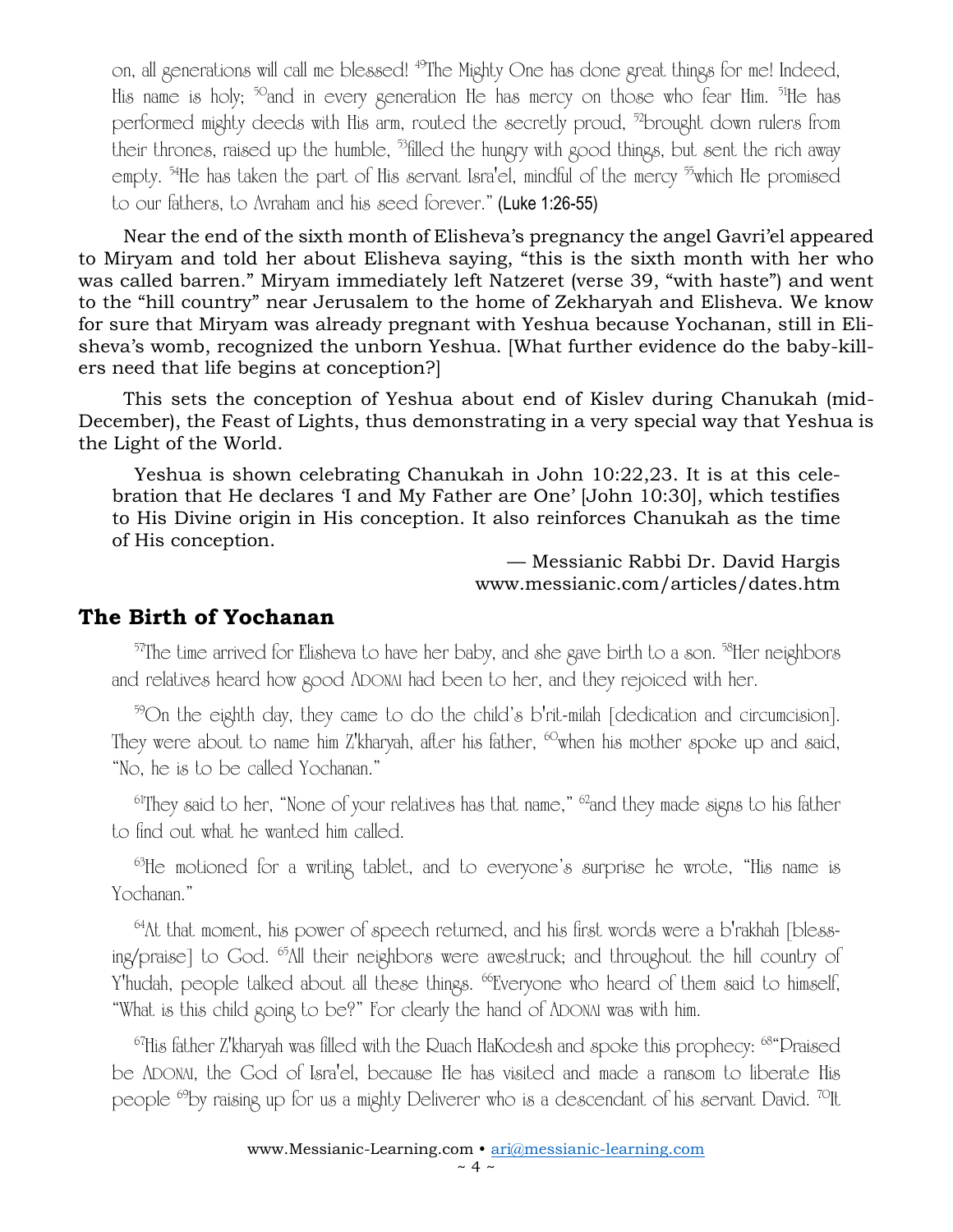on, all generations will call me blessed! <sup>49</sup>The Mighty One has done great things for me! Indeed, His name is holy; <sup>50</sup>and in every generation He has mercy on those who fear Him. <sup>51</sup>He has performed mighty deeds with His arm, routed the secretly proud, <sup>52</sup>brought down rulers from their thrones, raised up the humble,  $^{53}$  filled the hungry with good things, but sent the rich away empty. <sup>54</sup>He has taken the part of His servant Isra'el, mindful of the mercy <sup>55</sup>which He promised to our fathers, to Avraham and his seed forever." (Luke 1:26-55)

Near the end of the sixth month of Elisheva's pregnancy the angel Gavri'el appeared to Miryam and told her about Elisheva saying, "this is the sixth month with her who was called barren." Miryam immediately left Natzeret (verse 39, "with haste") and went to the "hill country" near Jerusalem to the home of Zekharyah and Elisheva. We know for sure that Miryam was already pregnant with Yeshua because Yochanan, still in Elisheva's womb, recognized the unborn Yeshua. [What further evidence do the baby-killers need that life begins at conception?]

This sets the conception of Yeshua about end of Kislev during Chanukah (mid-December), the Feast of Lights, thus demonstrating in a very special way that Yeshua is the Light of the World.

Yeshua is shown celebrating Chanukah in John 10:22,23. It is at this celebration that He declares 'I and My Father are One' [John 10:30], which testifies to His Divine origin in His conception. It also reinforces Chanukah as the time of His conception.

— Messianic Rabbi Dr. David Hargis www.messianic.com/articles/dates.htm

#### **The Birth of Yochanan**

 $57$ The time arrived for Elisheva to have her baby, and she gave birth to a son.  $58$ Her neighbors and relatives heard how good ADONAI had been to her, and they rejoiced with her.

<sup>59</sup>On the eighth day, they came to do the child's b'rit-milah [dedication and circumcision]. They were about to name him Z'kharyah, after his father, <sup>60</sup>when his mother spoke up and said, "No, he is to be called Yochanan."

 $64$ They said to her, "None of your relatives has that name,"  $62$  and they made signs to his father to find out what he wanted him called.

 $\mathrm{^{63}He}$  motioned for a writing tablet, and to everyone's surprise he wrote, "His name is Yochanan."

<sup>64</sup>At that moment, his power of speech returned, and his first words were a b'rakhah [blessing/praise] to God. <sup>65</sup>All their neighbors were awestruck; and throughout the hill country of Y'hudah, people talked about all these things. <sup>66</sup>Everyone who heard of them said to himself, "What is this child going to be?" For clearly the hand of ADONAI was with him.

<sup>67</sup>His father Z'kharyah was filled with the Ruach HaKodesh and spoke this prophecy: <sup>68</sup> "Praised be ADONAI, the God of Isra'el, because He has visited and made a ransom to liberate His people <sup>69</sup>by raising up for us a mighty Deliverer who is a descendant of his servant David. <sup>70</sup>It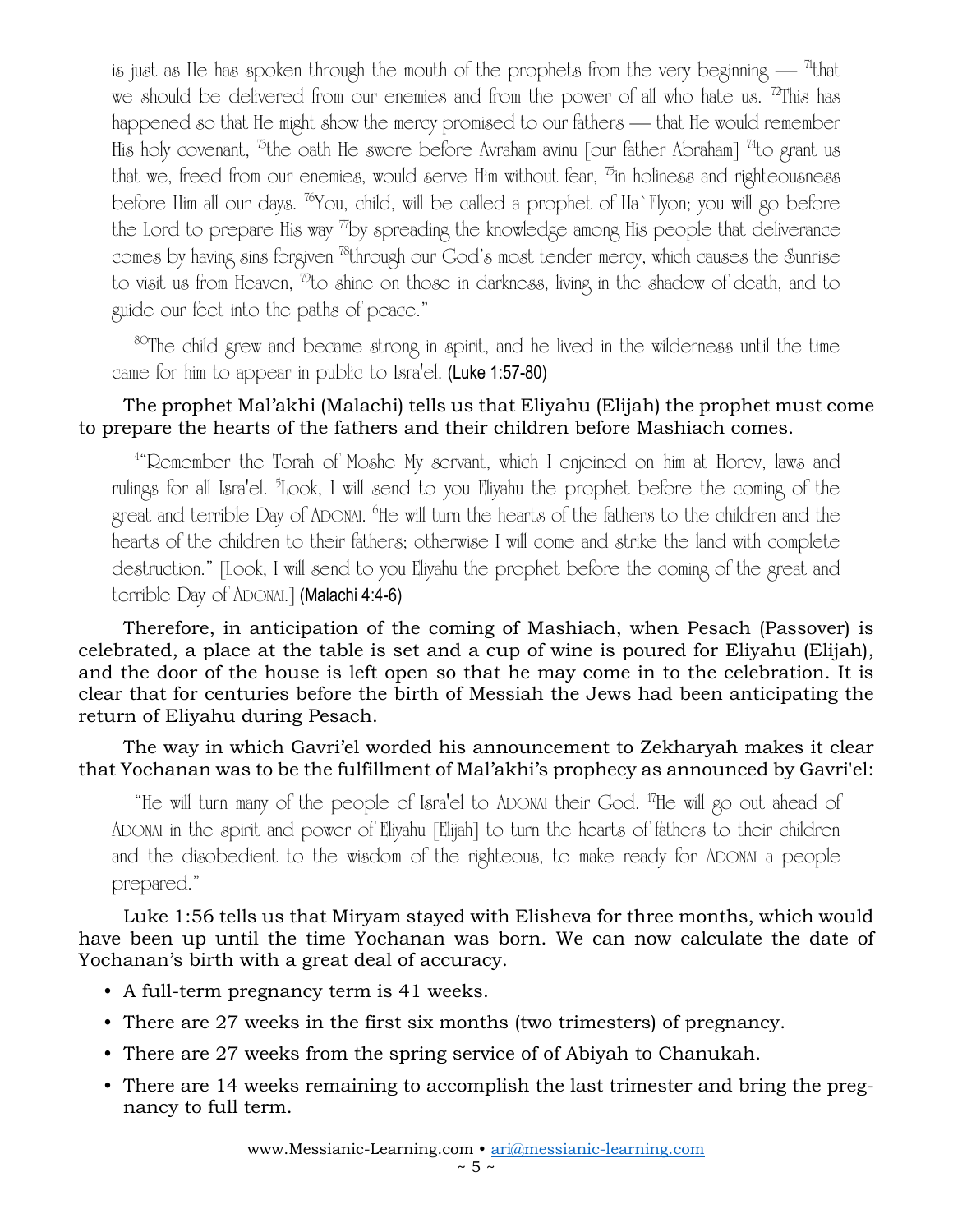is just as He has spoken through the mouth of the prophets from the very beginning  $-$  <sup>71</sup>that we should be delivered from our enemies and from the power of all who hate us. <sup>72</sup>This has happened so that He might show the mercy promised to our fathers — that He would remember His holy covenant, <sup>73</sup>the oath He swore before Avraham avinu [our father Abraham] <sup>74</sup>to grant us that we, freed from our enemies, would serve Him without fear,  $\overline{p}$  in holiness and righteousness before Him all our days. <sup>76</sup>You, child, will be called a prophet of Ha`Elyon; you will go before the Lord to prepare His way  $\pi$ by spreading the knowledge among His people that deliverance comes by having sins forgiven <sup>78</sup>through our God's most tender mercy, which causes the Sunrise to visit us from Heaven, <sup>79</sup>to shine on those in darkness, living in the shadow of death, and to guide our feet into the paths of peace."

80The child grew and became strong in spirit, and he lived in the wilderness until the time came for him to appear in public to Isra'el. (Luke 1:57-80)

#### The prophet Mal'akhi (Malachi) tells us that Eliyahu (Elijah) the prophet must come to prepare the hearts of the fathers and their children before Mashiach comes.

<sup>4</sup> "Remember the Torah of Moshe My servant, which I enjoined on him at Horev, laws and rulings for all Isra'el. <sup>5</sup> Look, I will send to you Eliyahu the prophet before the coming of the great and terrible Day of ADONAI. 6 He will turn the hearts of the fathers to the children and the hearts of the children to their fathers; otherwise I will come and strike the land with complete destruction." [Look, I will send to you Eliyahu the prophet before the coming of the great and terrible Day of ADONAI.] (Malachi 4:4-6)

Therefore, in anticipation of the coming of Mashiach, when Pesach (Passover) is celebrated, a place at the table is set and a cup of wine is poured for Eliyahu (Elijah), and the door of the house is left open so that he may come in to the celebration. It is clear that for centuries before the birth of Messiah the Jews had been anticipating the return of Eliyahu during Pesach.

The way in which Gavri'el worded his announcement to Zekharyah makes it clear that Yochanan was to be the fulfillment of Mal'akhi's prophecy as announced by Gavri'el:

"He will turn many of the people of Isra'el to ADONAI their God. <sup>17</sup>He will go out ahead of ADONAI in the spirit and power of Eliyahu [Elijah] to turn the hearts of fathers to their children and the disobedient to the wisdom of the righteous, to make ready for ADONAI a people prepared."

Luke 1:56 tells us that Miryam stayed with Elisheva for three months, which would have been up until the time Yochanan was born. We can now calculate the date of Yochanan's birth with a great deal of accuracy.

- A full-term pregnancy term is 41 weeks.
- There are 27 weeks in the first six months (two trimesters) of pregnancy.
- There are 27 weeks from the spring service of of Abiyah to Chanukah.
- There are 14 weeks remaining to accomplish the last trimester and bring the pregnancy to full term.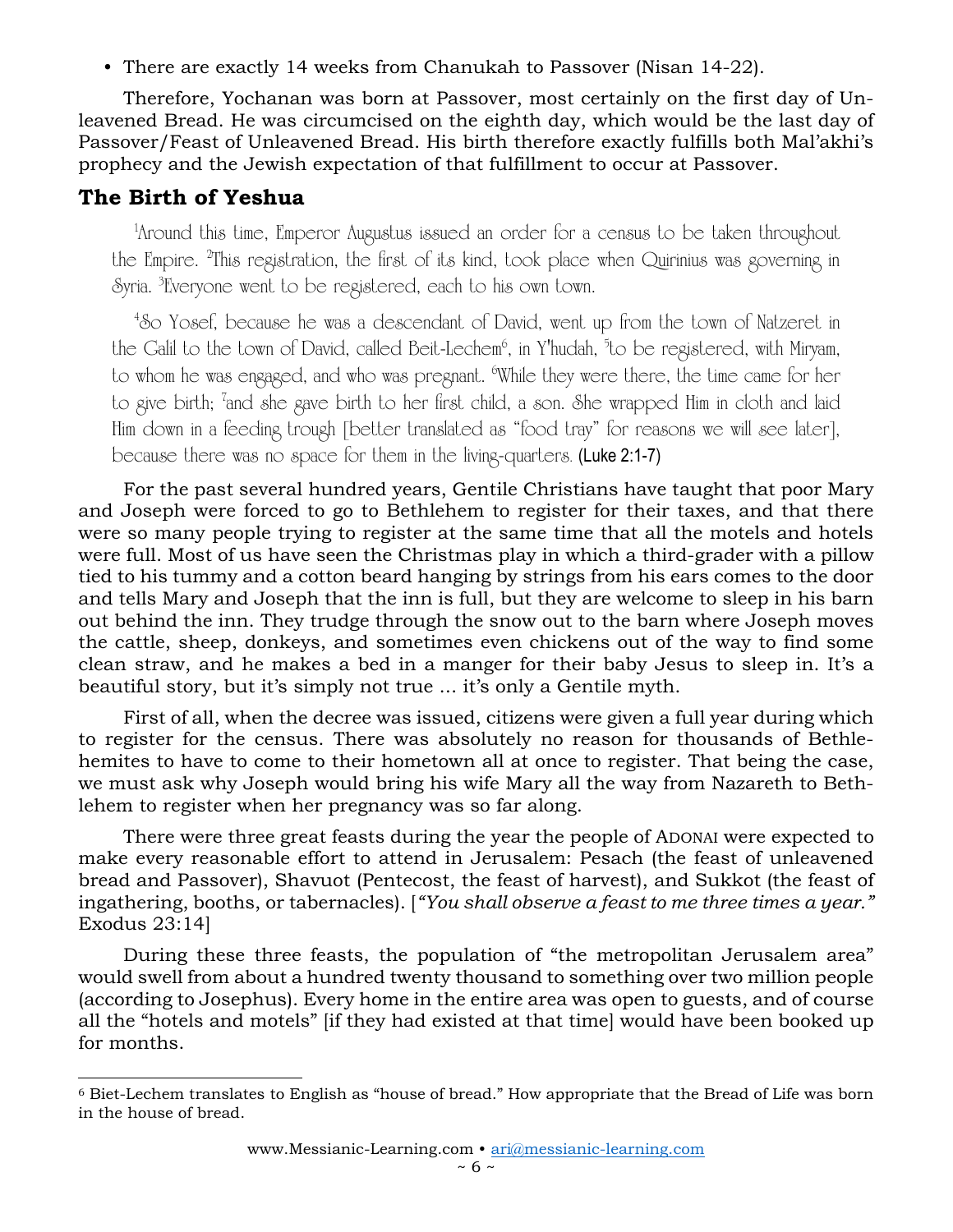• There are exactly 14 weeks from Chanukah to Passover (Nisan 14-22).

Therefore, Yochanan was born at Passover, most certainly on the first day of Unleavened Bread. He was circumcised on the eighth day, which would be the last day of Passover/Feast of Unleavened Bread. His birth therefore exactly fulfills both Mal'akhi's prophecy and the Jewish expectation of that fulfillment to occur at Passover.

## **The Birth of Yeshua**

1 Around this time, Emperor Augustus issued an order for a census to be taken throughout the Empire. <sup>2</sup>This registration, the first of its kind, took place when Quirinius was governing in Syria. <sup>3</sup> Everyone went to be registered, each to his own town.

<sup>4</sup>So Yosef, because he was a descendant of David, went up from the town of Natzeret in the Galil to the town of David, called Beit-Lechem<sup>6</sup>, in Y'hudah, <sup>5</sup>to be registered, with Miryam, to whom he was engaged, and who was pregnant. <sup>6</sup>While they were there, the time came for her to give birth; <sup>7</sup>and she gave birth to her first child, a son. She wrapped Him in cloth and laid Him down in a feeding trough [better translated as "food tray" for reasons we will see later], because there was no space for them in the living-quarters. (Luke 2:1-7)

For the past several hundred years, Gentile Christians have taught that poor Mary and Joseph were forced to go to Bethlehem to register for their taxes, and that there were so many people trying to register at the same time that all the motels and hotels were full. Most of us have seen the Christmas play in which a third-grader with a pillow tied to his tummy and a cotton beard hanging by strings from his ears comes to the door and tells Mary and Joseph that the inn is full, but they are welcome to sleep in his barn out behind the inn. They trudge through the snow out to the barn where Joseph moves the cattle, sheep, donkeys, and sometimes even chickens out of the way to find some clean straw, and he makes a bed in a manger for their baby Jesus to sleep in. It's a beautiful story, but it's simply not true ... it's only a Gentile myth.

First of all, when the decree was issued, citizens were given a full year during which to register for the census. There was absolutely no reason for thousands of Bethlehemites to have to come to their hometown all at once to register. That being the case, we must ask why Joseph would bring his wife Mary all the way from Nazareth to Bethlehem to register when her pregnancy was so far along.

There were three great feasts during the year the people of ADONAI were expected to make every reasonable effort to attend in Jerusalem: Pesach (the feast of unleavened bread and Passover), Shavuot (Pentecost, the feast of harvest), and Sukkot (the feast of ingathering, booths, or tabernacles). [*"You shall observe a feast to me three times a year."* Exodus 23:14]

During these three feasts, the population of "the metropolitan Jerusalem area" would swell from about a hundred twenty thousand to something over two million people (according to Josephus). Every home in the entire area was open to guests, and of course all the "hotels and motels" [if they had existed at that time] would have been booked up for months.

<sup>6</sup> Biet-Lechem translates to English as "house of bread." How appropriate that the Bread of Life was born in the house of bread.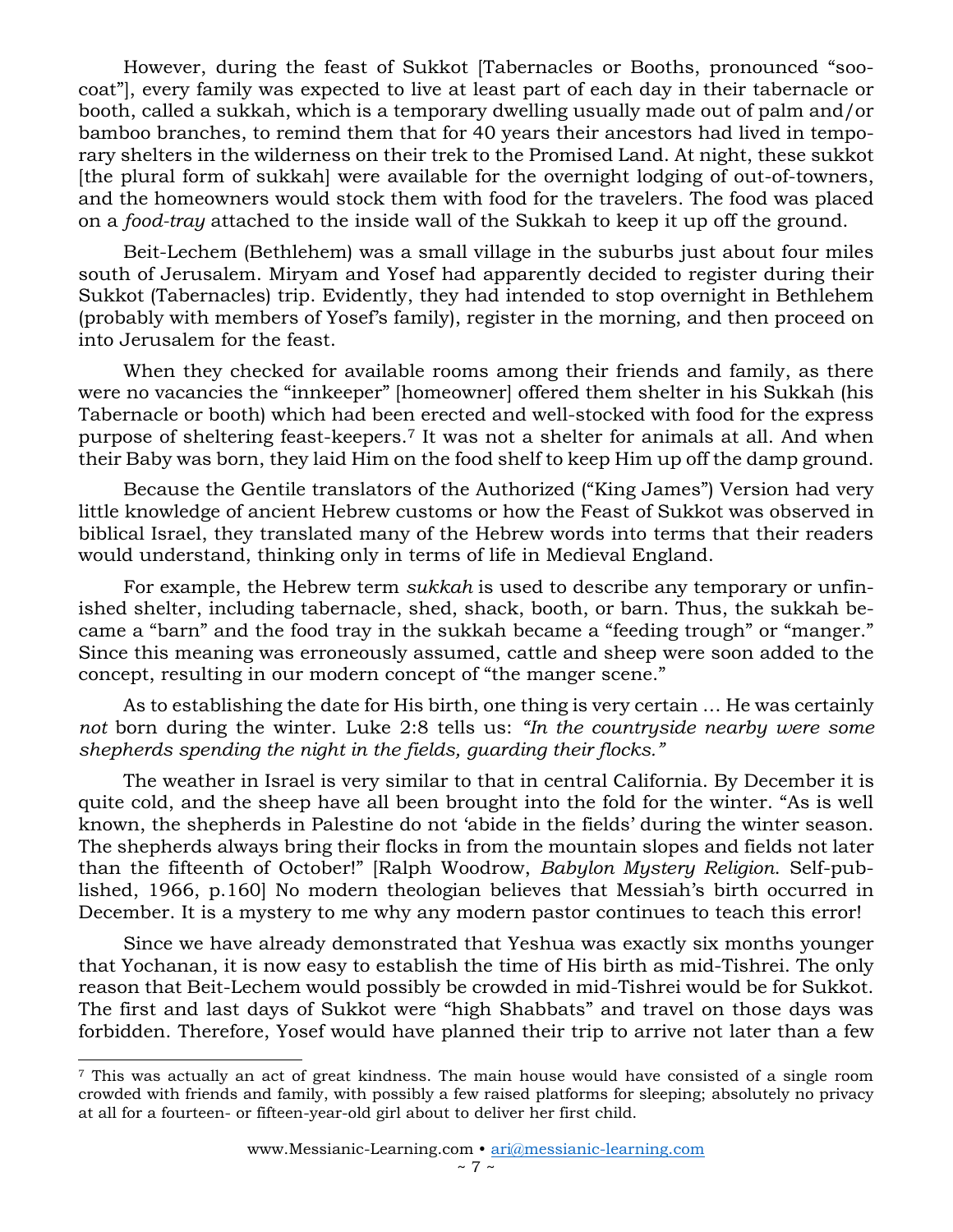However, during the feast of Sukkot [Tabernacles or Booths, pronounced "soocoat"], every family was expected to live at least part of each day in their tabernacle or booth, called a sukkah, which is a temporary dwelling usually made out of palm and/or bamboo branches, to remind them that for 40 years their ancestors had lived in temporary shelters in the wilderness on their trek to the Promised Land. At night, these sukkot [the plural form of sukkah] were available for the overnight lodging of out-of-towners, and the homeowners would stock them with food for the travelers. The food was placed on a *food-tray* attached to the inside wall of the Sukkah to keep it up off the ground.

Beit-Lechem (Bethlehem) was a small village in the suburbs just about four miles south of Jerusalem. Miryam and Yosef had apparently decided to register during their Sukkot (Tabernacles) trip. Evidently, they had intended to stop overnight in Bethlehem (probably with members of Yosef's family), register in the morning, and then proceed on into Jerusalem for the feast.

When they checked for available rooms among their friends and family, as there were no vacancies the "innkeeper" [homeowner] offered them shelter in his Sukkah (his Tabernacle or booth) which had been erected and well-stocked with food for the express purpose of sheltering feast-keepers.<sup>7</sup> It was not a shelter for animals at all. And when their Baby was born, they laid Him on the food shelf to keep Him up off the damp ground.

Because the Gentile translators of the Authorized ("King James") Version had very little knowledge of ancient Hebrew customs or how the Feast of Sukkot was observed in biblical Israel, they translated many of the Hebrew words into terms that their readers would understand, thinking only in terms of life in Medieval England.

For example, the Hebrew term *sukkah* is used to describe any temporary or unfinished shelter, including tabernacle, shed, shack, booth, or barn. Thus, the sukkah became a "barn" and the food tray in the sukkah became a "feeding trough" or "manger." Since this meaning was erroneously assumed, cattle and sheep were soon added to the concept, resulting in our modern concept of "the manger scene."

As to establishing the date for His birth, one thing is very certain … He was certainly *not* born during the winter. Luke 2:8 tells us: *"In the countryside nearby were some shepherds spending the night in the fields, guarding their flocks."*

The weather in Israel is very similar to that in central California. By December it is quite cold, and the sheep have all been brought into the fold for the winter. "As is well known, the shepherds in Palestine do not 'abide in the fields' during the winter season. The shepherds always bring their flocks in from the mountain slopes and fields not later than the fifteenth of October!" [Ralph Woodrow, *Babylon Mystery Religion*. Self-published, 1966, p.160] No modern theologian believes that Messiah's birth occurred in December. It is a mystery to me why any modern pastor continues to teach this error!

Since we have already demonstrated that Yeshua was exactly six months younger that Yochanan, it is now easy to establish the time of His birth as mid-Tishrei. The only reason that Beit-Lechem would possibly be crowded in mid-Tishrei would be for Sukkot. The first and last days of Sukkot were "high Shabbats" and travel on those days was forbidden. Therefore, Yosef would have planned their trip to arrive not later than a few

<sup>7</sup> This was actually an act of great kindness. The main house would have consisted of a single room crowded with friends and family, with possibly a few raised platforms for sleeping; absolutely no privacy at all for a fourteen- or fifteen-year-old girl about to deliver her first child.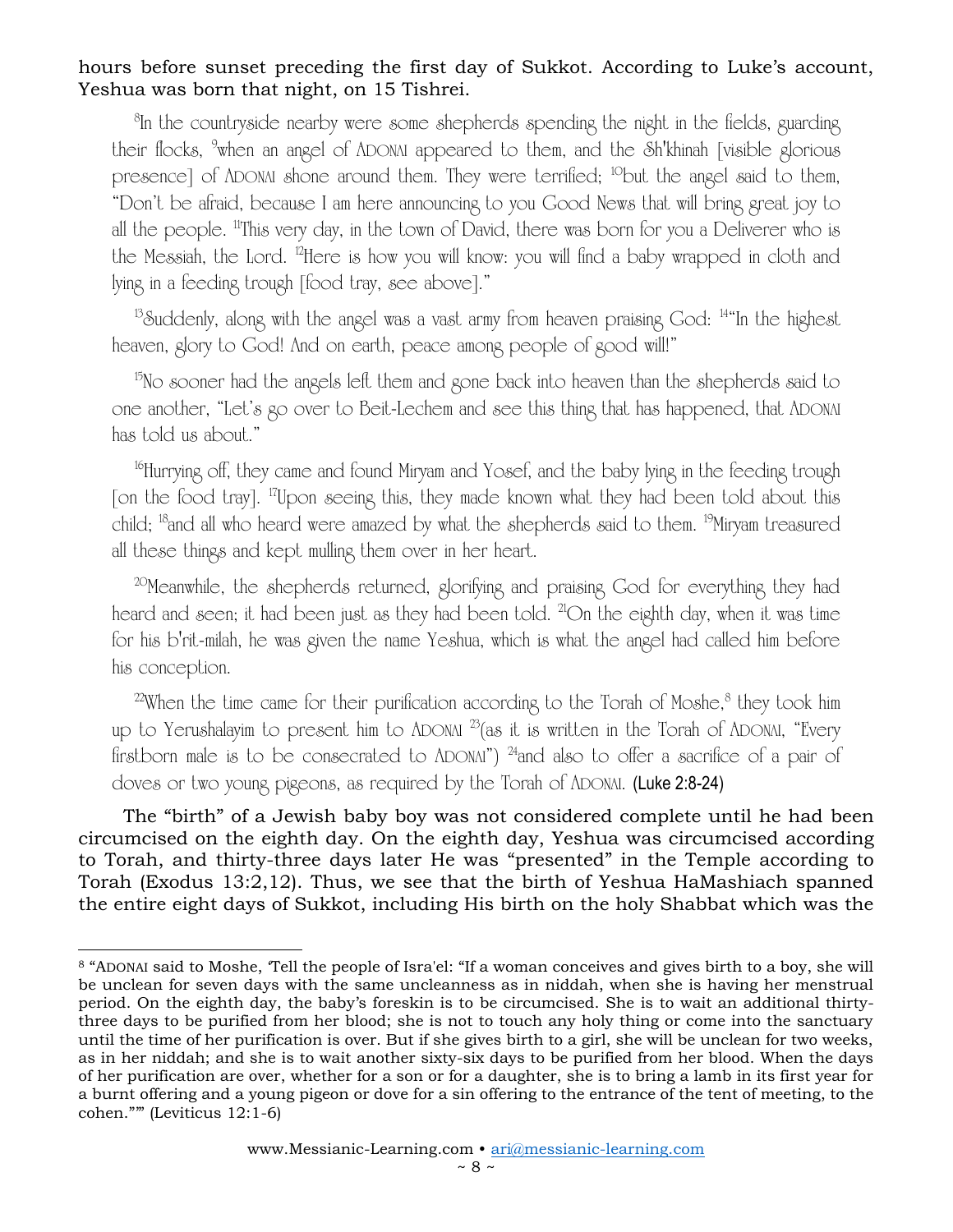#### hours before sunset preceding the first day of Sukkot. According to Luke's account, Yeshua was born that night, on 15 Tishrei.

<sup>8</sup>In the countryside nearby were some shepherds spending the night in the fields, guarding their flocks, <sup>9</sup>when an angel of ADONAI appeared to them, and the Sh'khinah [visible glorious] presence] of ADONAI shone around them. They were terrified; <sup>10</sup>but the angel said to them, "Don't be afraid, because I am here announcing to you Good News that will bring great joy to all the people. <sup>11</sup>This very day, in the town of David, there was born for you a Deliverer who is the Messiah, the Lord. <sup>12</sup>Here is how you will know: you will find a baby wrapped in cloth and lying in a feeding trough [food tray, see above]."

 $13$ Suddenly, along with the angel was a vast army from heaven praising God:  $14$ "In the highest heaven, glory to God! And on earth, peace among people of good will!"

<sup>15</sup>No sooner had the angels left them and gone back into heaven than the shepherds said to one another, "Let's go over to Beit-Lechem and see this thing that has happened, that ADONAI has told us about."

<sup>16</sup>Hurrying off, they came and found Miryam and Yosef, and the baby lying in the feeding trough [on the food tray]. <sup>17</sup>Upon seeing this, they made known what they had been told about this child; <sup>18</sup>and all who heard were amazed by what the shepherds said to them. <sup>19</sup>Miryam treasured all these things and kept mulling them over in her heart.

<sup>20</sup>Meanwhile, the shepherds returned, glorifying and praising God for everything they had heard and seen; it had been just as they had been told. <sup>21</sup>On the eighth day, when it was time for his b'rit-milah, he was given the name Yeshua, which is what the angel had called him before his conception.

 $22$ When the time came for their purification according to the Torah of Moshe, $8$  they took him up to Yerushalayim to present him to ADONAI  $^{23}$ (as it is written in the Torah of ADONAI, "Every firstborn male is to be consecrated to  $\Lambda$ DONAI")  $^{24}$ and also to offer a sacrifice of a pair of doves or two young pigeons, as required by the Torah of ADONAI. (Luke 2:8-24)

The "birth" of a Jewish baby boy was not considered complete until he had been circumcised on the eighth day. On the eighth day, Yeshua was circumcised according to Torah, and thirty-three days later He was "presented" in the Temple according to Torah (Exodus 13:2,12). Thus, we see that the birth of Yeshua HaMashiach spanned the entire eight days of Sukkot, including His birth on the holy Shabbat which was the

<sup>8</sup> "ADONAI said to Moshe, 'Tell the people of Isra'el: "If a woman conceives and gives birth to a boy, she will be unclean for seven days with the same uncleanness as in niddah, when she is having her menstrual period. On the eighth day, the baby's foreskin is to be circumcised. She is to wait an additional thirtythree days to be purified from her blood; she is not to touch any holy thing or come into the sanctuary until the time of her purification is over. But if she gives birth to a girl, she will be unclean for two weeks, as in her niddah; and she is to wait another sixty-six days to be purified from her blood. When the days of her purification are over, whether for a son or for a daughter, she is to bring a lamb in its first year for a burnt offering and a young pigeon or dove for a sin offering to the entrance of the tent of meeting, to the cohen."'" (Leviticus 12:1-6)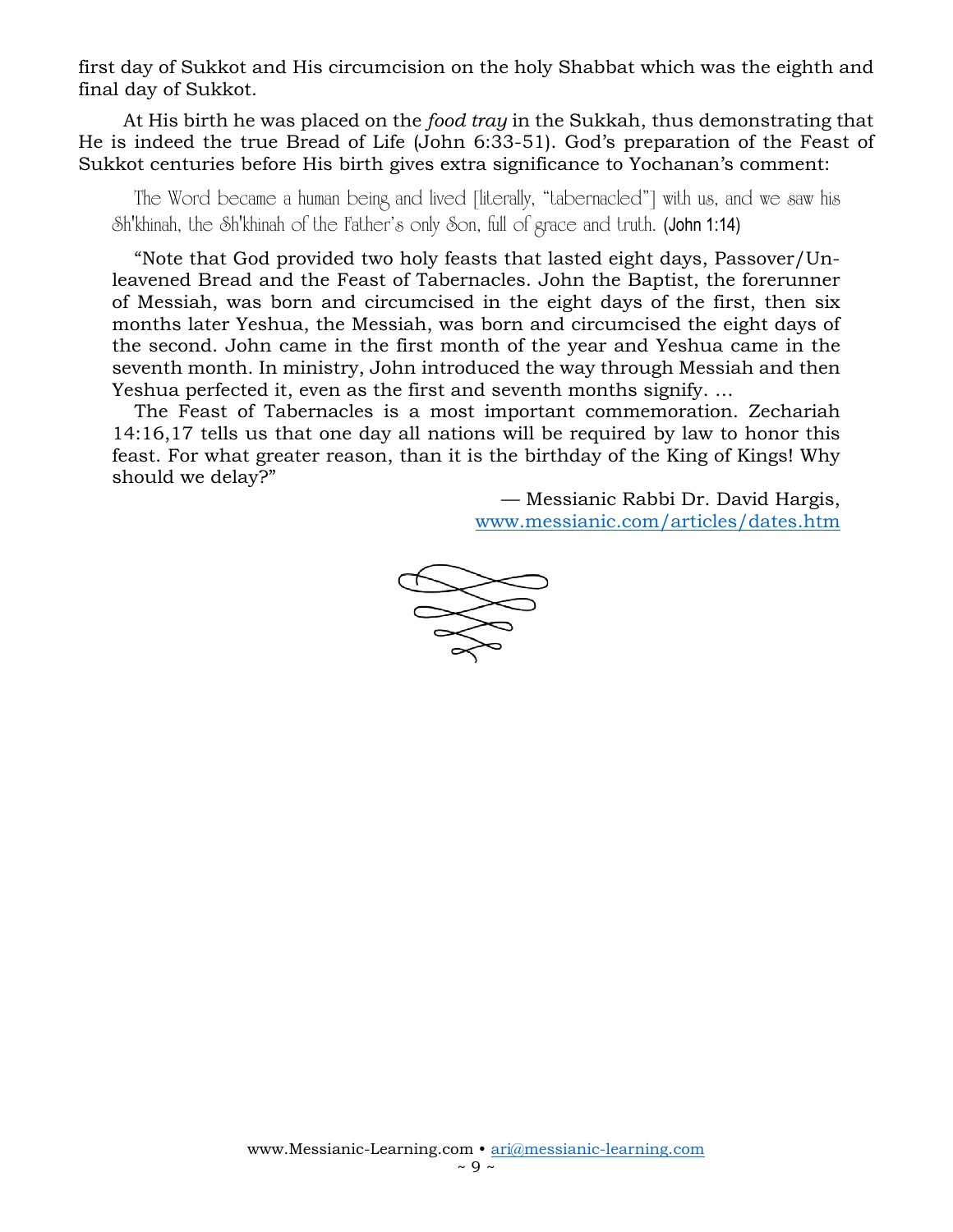first day of Sukkot and His circumcision on the holy Shabbat which was the eighth and final day of Sukkot.

At His birth he was placed on the *food tray* in the Sukkah, thus demonstrating that He is indeed the true Bread of Life (John 6:33-51). God's preparation of the Feast of Sukkot centuries before His birth gives extra significance to Yochanan's comment:

The Word became a human being and lived [literally, "tabernacled"] with us, and we saw his Sh'khinah, the Sh'khinah of the Father's only Son, full of grace and truth. (John 1:14)

"Note that God provided two holy feasts that lasted eight days, Passover/Unleavened Bread and the Feast of Tabernacles. John the Baptist, the forerunner of Messiah, was born and circumcised in the eight days of the first, then six months later Yeshua, the Messiah, was born and circumcised the eight days of the second. John came in the first month of the year and Yeshua came in the seventh month. In ministry, John introduced the way through Messiah and then Yeshua perfected it, even as the first and seventh months signify. …

The Feast of Tabernacles is a most important commemoration. Zechariah 14:16,17 tells us that one day all nations will be required by law to honor this feast. For what greater reason, than it is the birthday of the King of Kings! Why should we delay?"

> — Messianic Rabbi Dr. David Hargis, [www.messianic.com/articles/dates.htm](http://www.messianic.com/articles/dates.htm)